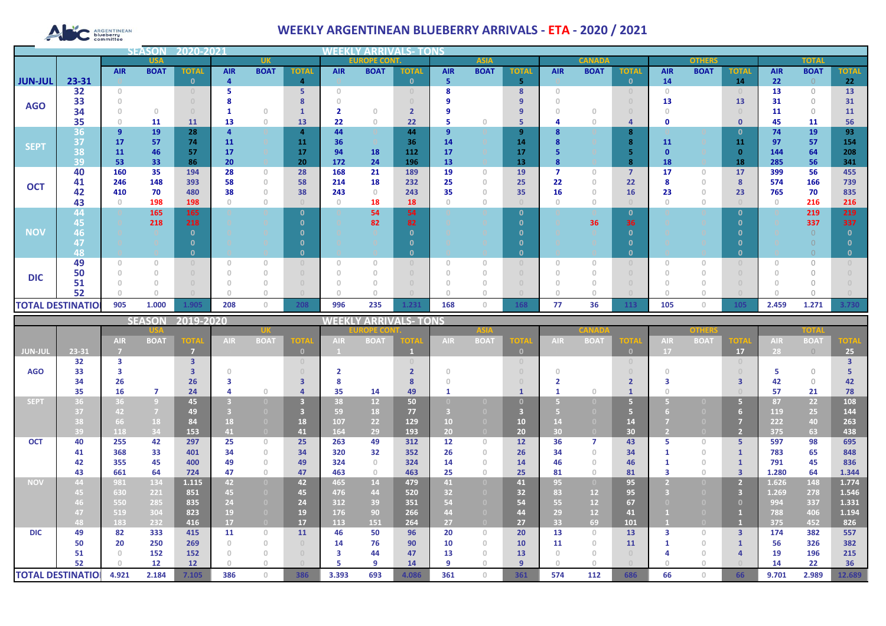# **ARGENTINEAN**

## **WEEKLY ARGENTINEAN BLUEBERRY ARRIVALS - ETA - 2020 / 2021**

|                          |            |                | <b>SEASON</b> | 2020-2021    |            |                                       |                |                                       |                |              |            |             |               |            |             |                |            |              |              |            |             |              |
|--------------------------|------------|----------------|---------------|--------------|------------|---------------------------------------|----------------|---------------------------------------|----------------|--------------|------------|-------------|---------------|------------|-------------|----------------|------------|--------------|--------------|------------|-------------|--------------|
|                          | <b>USA</b> |                | <b>UK</b>     |              |            | <b>EUROPE CONT.</b><br><b>ASIA</b>    |                |                                       |                |              |            |             | <b>CANADA</b> |            |             | <b>OTHERS</b>  |            | <b>TOTAL</b> |              |            |             |              |
|                          |            | <b>AIR</b>     | <b>BOAT</b>   | <b>TOTAL</b> | <b>AIR</b> | <b>BOAT</b>                           | <b>TOTAL</b>   | <b>AIR</b>                            | <b>BOAT</b>    | <b>TOTAL</b> | <b>AIR</b> | <b>BOAT</b> | <b>TOTAI</b>  | <b>AIR</b> | <b>BOAT</b> | <b>TOTAL</b>   | <b>AIR</b> | <b>BOAT</b>  | <b>TOTAL</b> | <b>AIR</b> | <b>BOAT</b> | <b>TOTAL</b> |
| <b>JUN-JUL</b>           | 23-31      |                |               | n            |            |                                       | 4              |                                       |                | $\mathbf{0}$ | 5          |             | 5             |            |             | $\mathbf{0}$   | 14         |              | 14           | 22         |             | 22           |
|                          | 32         | $\Omega$       |               |              |            |                                       | 5              | $\cap$                                |                |              |            |             | 8             | $\Omega$   |             |                | $\Box$     |              |              | 13         | $\Omega$    | 13           |
| <b>AGO</b>               | 33         |                |               |              |            |                                       |                |                                       |                |              |            |             |               |            |             |                | 13         |              | 13           | 31         | $\bigcap$   | 31           |
|                          | 34         |                | $\Omega$      |              |            | $\Omega$                              |                |                                       | n              |              |            |             | 9             |            |             |                |            |              |              | 11         | $\Omega$    | 11           |
|                          | 35         |                | 11            | 11           | 13         | $\theta$                              | 13             | 22                                    | $\circ$        | 22           | 5          | $\Box$      | 5             |            |             | $\overline{a}$ | O          |              | $\mathbf{0}$ | 45         | 11          | 56           |
| <b>SEPT</b>              | 36         | $\overline{9}$ | 19            | 28           |            |                                       | $\overline{a}$ | 44                                    |                | 44           | 9          |             | 9             |            |             | 8              |            |              | 0            | 74         | 19          | 93           |
|                          | 37         | 17             | 57            | 74           | 11         |                                       | 11             | 36                                    |                | 36           | 14         |             | 14            |            |             | 8              | 11         |              | 11           | 97         | 57          | 154          |
|                          | 38         | 11             | 46            | 57           | 17         |                                       | 17             | 94                                    | 18             | 112          | 17         |             | 17            |            |             |                |            |              | $\Omega$     | 144        | 64          | 208          |
|                          | 39         | 53             | 33            | 86           | 20         |                                       | 20             | 172                                   | 24             | 196          | 13         |             | 13            |            |             | 8              | 18         |              | 18           | 285        | 56          | 341          |
|                          | 40         | 160            | 35            | 194          | 28         | $\begin{array}{c} 0 \\ 0 \end{array}$ | 28             | 168                                   | 21             | 189          | 19         | $\Omega$    | 19            |            |             | $\overline{7}$ | 17         | $\circ$      | 17           | 399        | 56          | 455          |
| <b>OCT</b>               | 41         | 246            | 148           | 393          | 58         | $\theta$                              | 58             | 214                                   | 18<br>$\Omega$ | 232          | 25         | n           | 25            | 22         |             | 22             |            | 0            | 8            | 574        | 166         | 739          |
|                          | 42         | 410            | 70            | 480<br>198   | 38         | $\theta$                              | 38             | 243                                   |                | 243<br>18    | 35<br>n    |             | 35            | 16         |             | 16             | 23         | $\mathbf{0}$ | 23           | 765        | 70          | 835<br>216   |
|                          | 43<br>44   |                | 198<br>165    | 165          |            | $\circ$                               | $\Omega$       | $\circ$                               | 18<br>54       | 54           |            |             | 0             |            |             | $\mathbf{0}$   |            | 0            | - 0          |            | 216<br>219  | 219          |
|                          | 45         |                | 218           | 218          |            |                                       |                |                                       | 82             | 82           |            |             |               |            | 36          | 36             |            |              |              |            | 337         | 337          |
| <b>NOV</b>               | 46         |                |               |              |            |                                       |                |                                       |                |              |            |             |               |            |             |                |            |              |              |            |             |              |
|                          | 47         |                |               |              |            |                                       |                |                                       |                |              |            |             |               |            |             |                |            |              |              |            |             |              |
|                          | 48         |                |               |              |            |                                       |                |                                       |                | n            |            |             | 0             |            |             | $\mathbf{0}$   |            |              |              |            |             |              |
|                          | 49         |                |               |              |            | $\Omega$                              |                | $\begin{array}{c} 0 \\ 0 \end{array}$ |                |              | $\Omega$   |             |               |            |             |                |            |              |              |            |             |              |
|                          | 50         |                |               |              |            | $\Omega$                              |                | $\Omega$                              |                |              |            |             |               |            |             |                |            |              |              |            |             |              |
| <b>DIC</b>               | 51         |                |               |              |            |                                       |                |                                       |                |              |            |             |               |            |             |                |            |              |              |            |             |              |
|                          | 52         |                |               |              |            |                                       |                |                                       |                |              |            |             |               |            |             |                |            |              |              |            |             |              |
| <b>TOTAL DESTINATIOI</b> |            | 905            | 1.000         | 1.905        | 208        | $\mathbf{0}$                          | 208            | 996                                   | 235            | 1.231        | 168        | $\circ$     | 168           | 77         | 36          | 113            | 105        | $\circ$      | 105          | 2.459      | 1.271       | 3.730        |

|                          |       |            | <b>SEASON</b>  | 2019-2020         |      |                                       |              | WEEKLY ARRIVALS- TONS |                 |       |            |             |             |            |             |                                  |            |             |                |            |             |             |  |
|--------------------------|-------|------------|----------------|-------------------|------|---------------------------------------|--------------|-----------------------|-----------------|-------|------------|-------------|-------------|------------|-------------|----------------------------------|------------|-------------|----------------|------------|-------------|-------------|--|
|                          |       |            |                |                   |      |                                       |              |                       | <b>ROPE CON</b> |       |            | <b>ASIA</b> |             |            |             |                                  |            | other       |                |            | TOTA        |             |  |
|                          |       | <b>AIR</b> | <b>BOAT</b>    | <b>TOTA</b>       | AIR. | <b>BOAT</b>                           | <b>OTA</b>   | <b>AIR</b>            | <b>BOAT</b>     | ord   | <b>AIR</b> | <b>BOAT</b> | <b>TOTA</b> | <b>AIR</b> | <b>BOAT</b> | <b>TOTA</b>                      | <b>AIR</b> | <b>BOAT</b> | <b>TOTA</b>    | <b>AIR</b> | <b>BOAT</b> | <b>TOTA</b> |  |
| <b>JUN-JUL</b>           | 23-31 |            |                | - 7               |      |                                       | $\mathbf{0}$ |                       |                 |       |            |             | $\Box$      |            |             | $\mathbf{0}$                     | 17         |             | 17             | 28         | $\bigcirc$  | 25          |  |
|                          | 32    | з          |                | 3                 |      |                                       | $\cup$       |                       |                 |       |            |             |             |            |             | $\begin{array}{c} 0 \end{array}$ |            |             | $\cup$         |            |             |             |  |
| <b>AGO</b>               | 33    |            |                |                   |      |                                       | $\cup$       |                       |                 |       |            |             |             |            |             |                                  |            |             |                |            | $\bigcap$   |             |  |
|                          | 34    | 26         |                | 26                |      |                                       | 3            |                       |                 |       |            |             |             |            |             |                                  |            |             | ౩              | 42         | $\bigcirc$  | 42          |  |
|                          | 35    | 16         | $\overline{7}$ | 24                |      | $\cap$                                |              | 35                    | 14              | 49    |            |             |             |            |             |                                  |            |             |                | 57         | 21          | 78          |  |
| <b>SEPT</b>              | 36    | 36         | $\overline{9}$ | 45                |      | $\Box$                                |              | 38                    | 12 <sup>2</sup> | 50    |            |             |             |            |             | 5 <sup>1</sup>                   |            |             | 5.             | 87         | 22          | 108         |  |
|                          | 37    | 42         | $\overline{7}$ | 49                |      |                                       |              | 59                    | 18              | 77    |            |             |             |            |             |                                  |            |             | 6              | 119        | 25          | 144         |  |
|                          | 38    | 66         | 18             | 84                | 18   | $\Box$                                | 18           | 107                   | 22              | 129   | 10         |             | 10          | 14         |             | 14                               |            |             | 7              | 222        | 40          | 263         |  |
|                          | 39    | 118        | 34             | 153               | 41   | $\overline{0}$                        | 41           | 164                   | 29              | 193   | 20         |             | 20          | 30         |             | 30                               |            |             | $\overline{2}$ | 375        | 63          | 438         |  |
| <b>OCT</b>               | 40    | 255        | 42             | 297               | 25   | $\circ$                               | 25           | 263                   | 49              | 312   | 12         | $\Omega$    | 12          | 36         |             | 43                               |            | $\Omega$    | 5.             | 597        | 98          | 695         |  |
|                          | 41    | 368        | 33             | 401               | 34   | $\begin{array}{c} 0 \\ 0 \end{array}$ | 34           | 320                   | 32              | 352   | 26         | $\Omega$    | 26          | 34         | $\cap$      | 34                               |            | $\cap$      |                | 783        | 65          | 848         |  |
|                          | 42    | 355        | 45             | 400               | 49   | $\Omega$                              | 49           | 324                   | $\Omega$        | 324   | 14         | $\Box$      | 14          | 46         | n.          | 46                               |            | $\Omega$    |                | 791        | 45          | 836         |  |
|                          | 43    | 661        | 64             | 724               | 47   | $\mathbf{0}$                          | 47           | 463                   | $\Omega$        | 463   | 25         | $\cap$      | 25          | 81         | $\cap$      | 81                               |            | $\cup$      | $\overline{3}$ | 1.280      | 64          | 1.344       |  |
| <b>NOV</b>               | 44    | 981        | 134            | 1.115             | 42   | $\overline{0}$                        | 42           | 465                   | 14              | 479   | 41         | $\Box$      | 41          | 95         |             | 95                               |            |             | 2 <sup>7</sup> | 1.626      | 148         | 1.774       |  |
|                          | 45    | 630        | 221            | 851               | 45   | $\overline{0}$                        | 45           | 476                   | 44              | 520   | 32         |             | 32          | 83         | 12          | 95                               |            |             | 3              | 1.269      | 278         | 1.546       |  |
|                          | 46    | 550        | 285            | 835               | 24   | $\overline{0}$                        | 24           | 312                   | 39              | 351   | 54         |             | 54          | 55         | 12          | 67                               |            |             | $\mathbf{0}$   | 994        | 337         | 1.331       |  |
|                          | 47    | 519        | 304            | 823               | 19   | $\Box$                                | 19           | 176                   | 90              | 266   | 44         |             | 44          | 29         | 12          | 41                               |            |             |                | 788        | 406         | 1.194       |  |
|                          | 48    | 183        | 232            | 416               | 17   | $\overline{0}$                        | 17           | 113                   | 151             | 264   | 27         |             | 27          | 33         | 69          | 101                              |            |             |                | 375        | 452         | 826         |  |
| <b>DIC</b>               | 49    | 82         | 333            | 415               | 11   | $\circ$                               | 11           | 46                    | 50              | 96    | 20         | $\Omega$    | 20          | 13         | $\Omega$    | 13                               | з          | $\cup$      | $\overline{3}$ | 174        | 382         | 557         |  |
|                          | 50    | 20         | 250            | 269               |      | $\begin{array}{c} 0 \\ 0 \end{array}$ | $\Box$       | 14                    | 76              | 90    | 10         | $\Omega$    | 10          | 11         | $\cap$      | 11                               |            | $\Omega$    |                | 56         | 326         | 382         |  |
|                          | 51    |            | 152            | 152               |      | $\begin{array}{c} 0 \\ 0 \end{array}$ | $\Box$       | 3                     | 44              | 47    | 13         | $\Box$      | 13          |            |             | $\Box$                           |            |             |                | 19         | 196         | 215         |  |
|                          | 52    |            | 12             | $12 \overline{ }$ |      | $\cap$                                |              |                       | q               | 14    | 9          |             | $\alpha$    |            |             |                                  |            |             |                | 14         | 22          | 36          |  |
| <b>TOTAL DESTINATIOI</b> |       | 4.921      | 2.184          | 7.105             | 386  | $\Omega$                              | 386          | 3.393                 | 693             | 4.086 | 361        | $\Box$      | 361         | 574        | 112         | 686                              | 66         |             | 66             | 9.701      | 2.989       | 12.689      |  |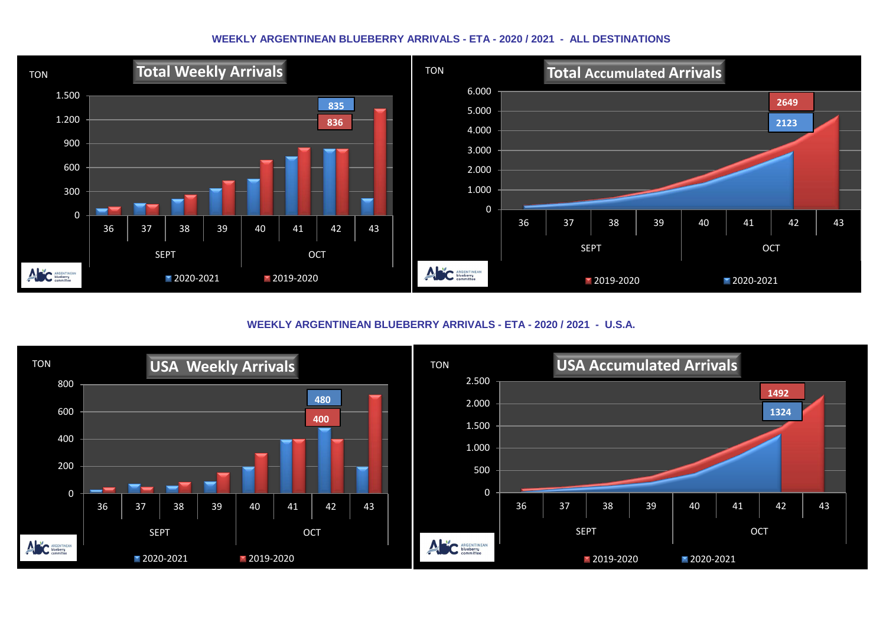#### **WEEKLY ARGENTINEAN BLUEBERRY ARRIVALS - ETA - 2020 / 2021 - ALL DESTINATIONS**



**WEEKLY ARGENTINEAN BLUEBERRY ARRIVALS - ETA - 2020 / 2021 - U.S.A.**

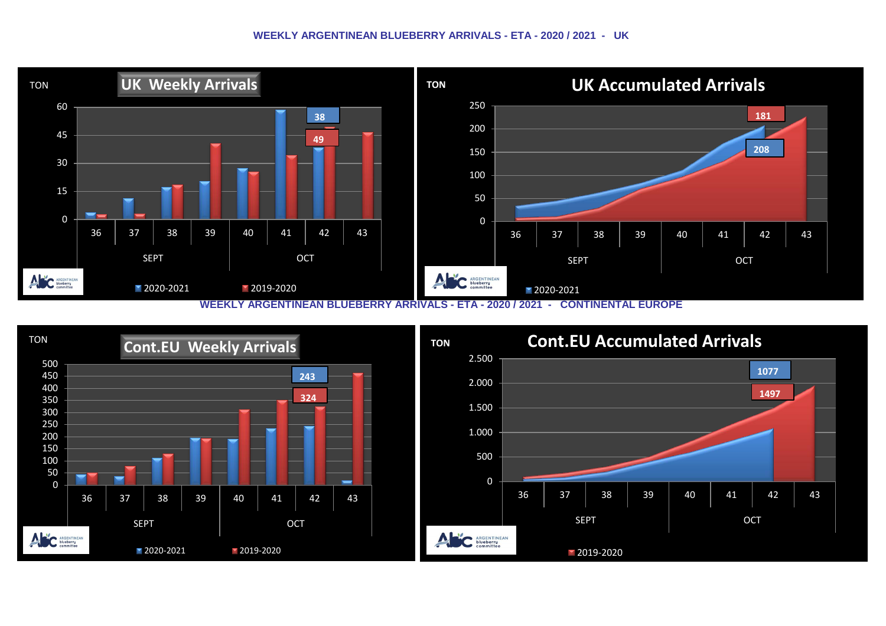#### **WEEKLY ARGENTINEAN BLUEBERRY ARRIVALS - ETA - 2020 / 2021 - UK**